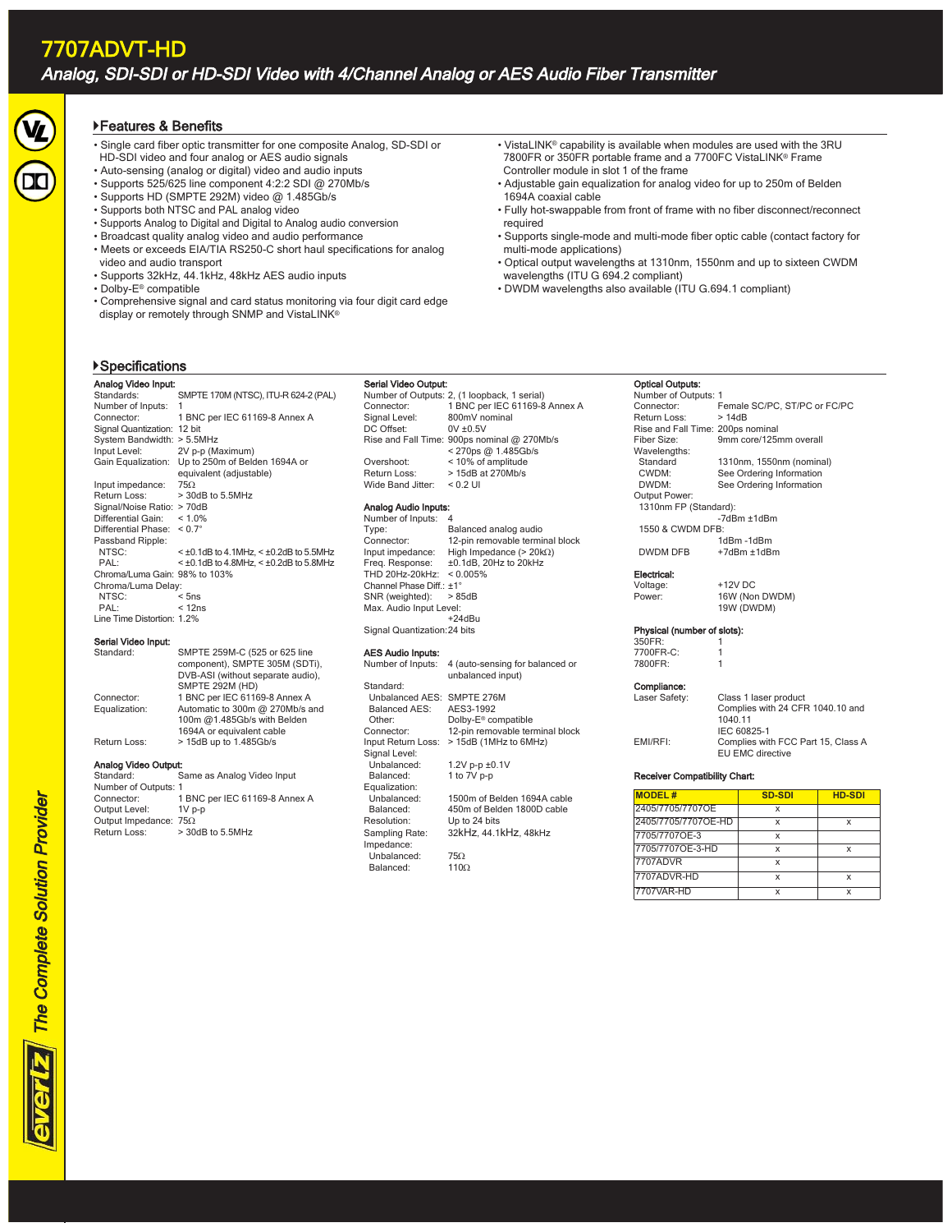# Features & Benefits

- Single card fiber optic transmitter for one composite Analog, SD-SDI or HD-SDI video and four analog or AES audio signals
- Auto-sensing (analog or digital) video and audio inputs
- Supports 525/625 line component 4:2:2 SDI @ 270Mb/s
- Supports HD (SMPTE 292M) video @ 1.485Gb/s
- Supports both NTSC and PAL analog video
- Supports Analog to Digital and Digital to Analog audio conversion
- Broadcast quality analog video and audio performance
- Meets or exceeds EIA/TIA RS250-C short haul specifications for analog video and audio transport
- Supports 32kHz, 44.1kHz, 48kHz AES audio inputs
- Dolby-E® compatible
- Comprehensive signal and card status monitoring via four digit card edge display or remotely through SNMP and VistaLINK®
- VistaLINK® capability is available when modules are used with the 3RU 7800FR or 350FR portable frame and a 7700FC VistaLINK® Frame Controller module in slot 1 of the frame
- Adjustable gain equalization for analog video for up to 250m of Belden 1694A coaxial cable
- Fully hot-swappable from front of frame with no fiber disconnect/reconnect required
- Supports single-mode and multi-mode fiber optic cable (contact factory for multi-mode applications)
- Optical output wavelengths at 1310nm, 1550nm and up to sixteen CWDM wavelengths (ITU G 694.2 compliant)
- DWDM wavelengths also available (ITU G.694.1 compliant)

# Specifications

| Analog Video Input:           |                                            |
|-------------------------------|--------------------------------------------|
| Standards:                    | SMPTE 170M (NTSC), ITU-R 624-2 (PAL)       |
| Number of Inputs:             | 1                                          |
| Connector:                    | 1 BNC per IEC 61169-8 Annex A              |
| Signal Quantization:          | 12 bit                                     |
| System Bandwidth:             | $> 5.5$ MHz                                |
| Input Level:                  | 2V p-p (Maximum)                           |
| Gain Equalization:            | Up to 250m of Belden 1694A or              |
|                               | equivalent (adjustable)                    |
| Input impedance:              | 75.0                                       |
| Return Loss:                  | $>$ 30dB to 5.5MHz                         |
| Signal/Noise Ratio: > 70dB    |                                            |
| Differential Gain:            | < 1.0%                                     |
| Differential Phase: $< 0.7$ ° |                                            |
| Passband Ripple:              |                                            |
| NTSC:                         | $<$ ±0.1dB to 4.1MHz, $<$ ±0.2dB to 5.5MHz |
| PAL:                          | $<$ ±0.1dB to 4.8MHz, $<$ ±0.2dB to 5.8MHz |
| Chroma/Luma Gain: 98% to 103% |                                            |
| Chroma/Luma Delay:            |                                            |
| NTSC:                         | $<$ 5ns                                    |
| PAL:                          | < 12ns                                     |
| Line Time Distortion: 1.2%    |                                            |

## Serial Video Input:

| Standard:            | SMPTE 259M-C (525 or 625 line<br>component), SMPTE 305M (SDTi),<br>DVB-ASI (without separate audio),<br><b>SMPTE 292M (HD)</b> |
|----------------------|--------------------------------------------------------------------------------------------------------------------------------|
| Connector:           | 1 BNC per IEC 61169-8 Annex A                                                                                                  |
| Equalization:        | Automatic to 300m @ 270Mb/s and                                                                                                |
|                      | 100m @1.485Gb/s with Belden                                                                                                    |
|                      | 1694A or equivalent cable                                                                                                      |
| Return Loss:         | > 15dB up to 1.485Gb/s                                                                                                         |
| Analog Video Output: |                                                                                                                                |
| Standard:            | Same as Analog Video Input                                                                                                     |
| Number of Outputs: 1 |                                                                                                                                |
|                      |                                                                                                                                |

| Jianuaru.                     | <u>Jalile as Alialuu viueu liibut</u> |
|-------------------------------|---------------------------------------|
| Number of Outputs: 1          |                                       |
| Connector:                    | 1 BNC per IEC 61169-8 Annex A         |
| Output Level:                 | $1Vp-p$                               |
| Output Impedance: 75 $\Omega$ |                                       |
| Return Loss:                  | $>$ 30dB to 5.5MHz                    |
|                               |                                       |

### Serial Video Output:

Number of Outputs: 2, (1 loopback, 1 serial) Connector: 1 BNC per IEC 61169-8 Annex A<br>Signal Level: 800mV nominal  $800$ mV nominal<br>0V  $\pm 0.5$ V DC Offset: Rise and Fall Time: 900ps nominal @ 270Mb/s < 270ps @ 1.485Gb/s Overshoot: < 10% of amplitude Return Loss: > 15dB at 270Mb/s<br>Wide Band Jitter: < 0.2 UI Wide Band Jitter:

# Analog Audio Inputs:

Number of Inputs: 4 Type: Balanced analog audio<br>
Connector: 12-nin removable termin Connector: 12-pin removable terminal block<br>Input impedance: High Impedance  $(>20k\Omega)$ Input impedance: High Impedance (>  $20kΩ$ )<br>Freq. Response:  $±0.1dB$ , 20Hz to 20kHz  $±0.1dB$ , 20Hz to 20kHz THD 20Hz-20kHz: < 0.005% Channel Phase Diff.: ±1°<br>SNR (weighted): > 85dB SNR (weighted): Max. Audio Input Level: +24dBu Signal Quantization: 24 bits

# **AES Audio Inputs:**<br>Number of Inputs:

| 4 (auto-sensing for balanced or<br>unbalanced input) |
|------------------------------------------------------|
|                                                      |
| Unbalanced AES: SMPTE 276M                           |
| AES3-1992                                            |
| Dolby-E <sup>®</sup> compatible                      |
| 12-pin removable terminal block                      |
| > 15dB (1MHz to 6MHz)                                |
|                                                      |
| 1.2V p-p ±0.1V                                       |
| 1 to 7V p-p                                          |
|                                                      |
| 1500m of Belden 1694A cable                          |
| 450m of Belden 1800D cable                           |
| Up to 24 bits                                        |
| 32kHz. 44.1kHz. 48kHz                                |
|                                                      |
| 750                                                  |
| $110\Omega$                                          |
|                                                      |

#### Optical Outputs:

Number of Outputs: 1 Female SC/PC, ST/PC or FC/PC<br>> 14dB Return Loss Rise and Fall Time: 200ps nominal<br>Fiber Size: 9mm core/125 9mm core/125mm overall Wavelengths:<br>Standard 1310nm, 1550nm (nominal) CWDM: See Ordering Information DWDM: See Ordering Information Output Power: 1310nm FP (Standard): -7dBm ±1dBm 1550 & CWDM DFB: 1dBm -1dBm DWDM DFB +7dBm ±1dBm

Electrical:

Voltage: +12V DC<br>Power: 16W (Nor 16W (Non DWDM) 19W (DWDM)

#### Physical (number of slots):

| 350FR:        |                                    |
|---------------|------------------------------------|
| 7700FR-C:     |                                    |
| 7800FR:       |                                    |
| Compliance:   |                                    |
| Laser Safety: | Class 1 laser product              |
|               | Complies with 24 CFR 1040.10 and   |
|               | 1040.11                            |
|               | IEC 60825-1                        |
| EMI/RFI:      | Complies with FCC Part 15, Class A |

# EU EMC directive

### Receiver Compatibility Chart:

| <b>MODEL#</b>       | <b>SD-SDI</b> | <b>HD-SDI</b> |
|---------------------|---------------|---------------|
| 2405/7705/7707OE    | x             |               |
| 2405/7705/7707OE-HD | x             | x             |
| 7705/7707OE-3       | x             |               |
| 7705/7707OE-3-HD    | x             |               |
| 7707ADVR            | x             |               |
| 7707ADVR-HD         | x             | x             |
| 7707VAR-HD          |               |               |